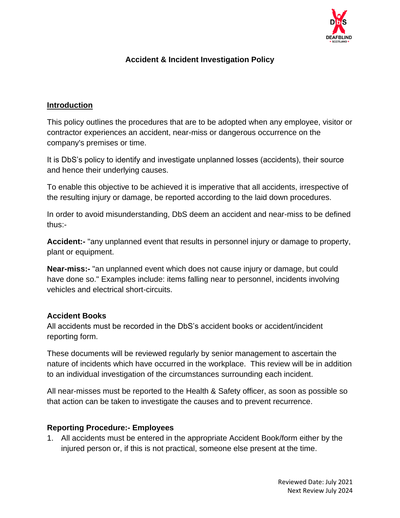

## **Accident & Incident Investigation Policy**

#### **Introduction**

This policy outlines the procedures that are to be adopted when any employee, visitor or contractor experiences an accident, near-miss or dangerous occurrence on the company's premises or time.

It is DbS's policy to identify and investigate unplanned losses (accidents), their source and hence their underlying causes.

To enable this objective to be achieved it is imperative that all accidents, irrespective of the resulting injury or damage, be reported according to the laid down procedures.

In order to avoid misunderstanding, DbS deem an accident and near-miss to be defined thus:-

**Accident:-** "any unplanned event that results in personnel injury or damage to property, plant or equipment.

**Near-miss:-** "an unplanned event which does not cause injury or damage, but could have done so." Examples include: items falling near to personnel, incidents involving vehicles and electrical short-circuits.

#### **Accident Books**

All accidents must be recorded in the DbS's accident books or accident/incident reporting form.

These documents will be reviewed regularly by senior management to ascertain the nature of incidents which have occurred in the workplace. This review will be in addition to an individual investigation of the circumstances surrounding each incident.

All near-misses must be reported to the Health & Safety officer, as soon as possible so that action can be taken to investigate the causes and to prevent recurrence.

#### **Reporting Procedure:- Employees**

1. All accidents must be entered in the appropriate Accident Book/form either by the injured person or, if this is not practical, someone else present at the time.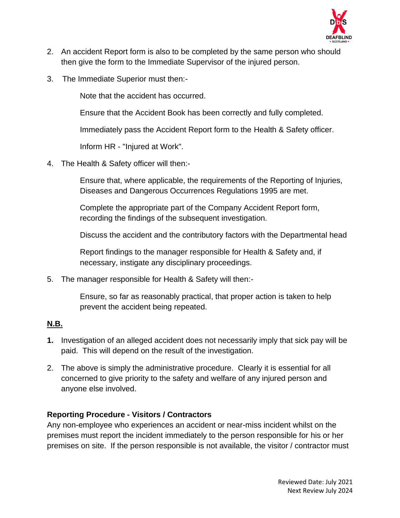

- 2. An accident Report form is also to be completed by the same person who should then give the form to the Immediate Supervisor of the injured person.
- 3. The Immediate Superior must then:-

Note that the accident has occurred.

Ensure that the Accident Book has been correctly and fully completed.

Immediately pass the Accident Report form to the Health & Safety officer.

Inform HR - "Injured at Work".

4. The Health & Safety officer will then:-

Ensure that, where applicable, the requirements of the Reporting of Injuries, Diseases and Dangerous Occurrences Regulations 1995 are met.

Complete the appropriate part of the Company Accident Report form, recording the findings of the subsequent investigation.

Discuss the accident and the contributory factors with the Departmental head

Report findings to the manager responsible for Health & Safety and, if necessary, instigate any disciplinary proceedings.

5. The manager responsible for Health & Safety will then:-

Ensure, so far as reasonably practical, that proper action is taken to help prevent the accident being repeated.

### **N.B.**

- **1.** Investigation of an alleged accident does not necessarily imply that sick pay will be paid. This will depend on the result of the investigation.
- 2. The above is simply the administrative procedure. Clearly it is essential for all concerned to give priority to the safety and welfare of any injured person and anyone else involved.

### **Reporting Procedure - Visitors / Contractors**

Any non-employee who experiences an accident or near-miss incident whilst on the premises must report the incident immediately to the person responsible for his or her premises on site. If the person responsible is not available, the visitor / contractor must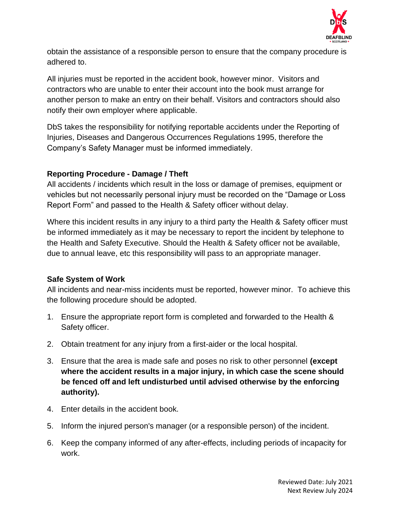

obtain the assistance of a responsible person to ensure that the company procedure is adhered to.

All injuries must be reported in the accident book, however minor. Visitors and contractors who are unable to enter their account into the book must arrange for another person to make an entry on their behalf. Visitors and contractors should also notify their own employer where applicable.

DbS takes the responsibility for notifying reportable accidents under the Reporting of Injuries, Diseases and Dangerous Occurrences Regulations 1995, therefore the Company's Safety Manager must be informed immediately.

### **Reporting Procedure - Damage / Theft**

All accidents / incidents which result in the loss or damage of premises, equipment or vehicles but not necessarily personal injury must be recorded on the "Damage or Loss Report Form" and passed to the Health & Safety officer without delay.

Where this incident results in any injury to a third party the Health & Safety officer must be informed immediately as it may be necessary to report the incident by telephone to the Health and Safety Executive. Should the Health & Safety officer not be available, due to annual leave, etc this responsibility will pass to an appropriate manager.

### **Safe System of Work**

All incidents and near-miss incidents must be reported, however minor. To achieve this the following procedure should be adopted.

- 1. Ensure the appropriate report form is completed and forwarded to the Health & Safety officer.
- 2. Obtain treatment for any injury from a first-aider or the local hospital.
- 3. Ensure that the area is made safe and poses no risk to other personnel **(except where the accident results in a major injury, in which case the scene should be fenced off and left undisturbed until advised otherwise by the enforcing authority).**
- 4. Enter details in the accident book.
- 5. Inform the injured person's manager (or a responsible person) of the incident.
- 6. Keep the company informed of any after-effects, including periods of incapacity for work.